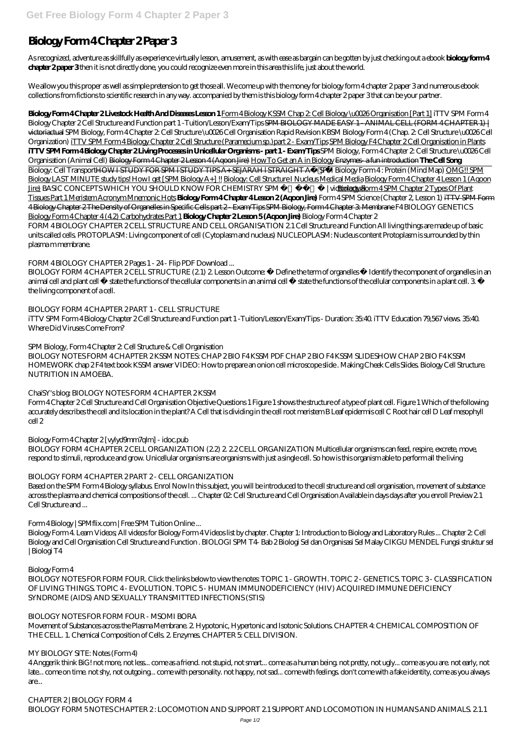# **Biology Form 4 Chapter 2 Paper 3**

As recognized, adventure as skillfully as experience virtually lesson, amusement, as with ease as bargain can be gotten by just checking out a ebook **biology form 4 chapter 2 paper 3** then it is not directly done, you could recognize even more in this area this life, just about the world.

We allow you this proper as well as simple pretension to get those all. We come up with the money for biology form 4 chapter 2 paper 3 and numerous ebook collections from fictions to scientific research in any way. accompanied by them is this biology form 4 chapter 2 paper 3 that can be your partner.

BIOLOGY FORM 4 CHAPTER 2 CELL STRUCTURE (2.1) 2. Lesson Outcome: • Define the term of organelles • Identify the component of organelles in an animal cell and plant cell • state the functions of the cellular components in an animal cell • state the functions of the cellular components in a plant cell. 3 • the living component of a cell.

**Biology Form 4 Chapter 2 Livestock Health And Diseases Lesson 1** Form 4 Biology KSSM Chap 2: Cell Biology \u0026 Organisation [Part 1] iTTV SPM Form 4 Biology Chapter 2 Cell Structure and Function part 1 - Tuition/Lesson/Exam/Tips SPM BIOLOGY MADE EASY 1 - ANIMAL CELL (FORM 4 CHAPTER 1) | victoriactual *SPM Biology, Form 4 Chapter 2: Cell Structure \u0026 Cell Organisation Rapid Revision KBSM Biology Form 4 (Chap. 2: Cell Structure \u0026 Cell Organization)* iTTV SPM Form 4 Biology Chapter 2 Cell Structure (Paramecium sp.)part 2 - Exam/Tips SPM Biology F4 Chapter 2 Cell Organisation in Plants **iTTV SPM Form 4 Biology Chapter 2 Living Processes in Unicellular Organisms - part 1 - Exam/Tips** *SPM Biology, Form 4 Chapter 2: Cell Structure \u0026 Cell Organisation (Animal Cell)* Biology Form 4 Chapter 2 Lesson 4 (Aqoon Jire) How To Get an A in Biology Enzymes- a fun introduction **The Cell Song** Biology: Cell TransportHOW I STUDY FOR SPM l STUDY TIPS A+ SEJARAH l STRAIGHT A*SPM Biology Form 4 : Protein (Mind Map)* OMG!! SPM Biology LAST MINUTE study tips! How I get [SPM Biology A+] !! Biology: Cell Structure I Nucleus Medical Media Biology Form 4 Chapter 4 Lesson 1 (Aqoon Jire) *BASIC CONCEPTS WHICH YOU SHOULD KNOW FOR CHEMISTRY SPM* / *victoriaBiobbiology Form 4 SPM Chapter 2 Types Of Plant* Tissues Part 1 Meristem Acronym Mnemonic Hots **Biology Form 4 Chapter 4 Lesson 2 (Aqoon Jire)** *Form 4 SPM Science (Chapter 2, Lesson 1)* iTTV SPM Form 4 Biology Chapter 2 The Density of Organelles in Specific Cells part 2 - Exam/Tips SPM Biology, Form 4 Chapter 3: Membrane *F4 BIOLOGY GENETICS* Biology Form 4 Chapter 4 (4.2) Carbohydrates Part 1 **Biology Chapter 2 Lesson 5 (Aqoon Jire)** *Biology Form 4 Chapter 2* FORM 4 BIOLOGY CHAPTER 2 CELL STRUCTURE AND CELL ORGANISATION 2.1 Cell Structure and Function All living things are made up of basic units called cells. PROTOPLASM: Living component of cell (Cytoplasm and nucleus) NUCLEOPLASM: Nucleus content Protoplasm is surrounded by thin plasma m membrane.

BIOLOGY FORM 4 CHAPTER 2 CELL ORGANIZATION (2.2) 2. 2.2 CELL ORGANIZATION Multicellular organisms can feed, respire, excrete, move, respond to stimuli, reproduce and grow. Unicellular organisms are organisms with just a single cell. So how is this organism able to perform all the living

### *FORM 4 BIOLOGY CHAPTER 2 Pages 1 - 24 - Flip PDF Download ...*

BIOLOGY NOTES FOR FORM FOUR. Click the links below to view the notes: TOPIC 1 - GROWTH. TOPIC 2- GENETICS. TOPIC 3- CLASSIFICATION OF LIVING THINGS. TOPIC 4 - EVOLUTION. TOPIC 5 - HUMAN IMMUNODEFICIENCY (HIV) ACQUIRED IMMUNE DEFICIENCY SYNDROME (AIDS) AND SEXUALLY TRANSMITTED INFECTIONS (STIS)

*CHAPTER 2 | BIOLOGY FORM 4* BIOLOGY FORM 5NOTES CHAPTER 2: LOCOMOTION AND SUPPORT 2.1 SUPPORT AND LOCOMOTION IN HUMANS AND ANIMALS. 2.1.1

### *BIOLOGY FORM 4 CHAPTER 2 PART 1 - CELL STRUCTURE*

iTTV SPM Form 4 Biology Chapter 2 Cell Structure and Function part 1 -Tuition/Lesson/Exam/Tips - Duration: 35:40. iTTV Education 79,567 views. 35:40. Where Did Viruses Come From?

### *SPM Biology, Form 4 Chapter 2: Cell Structure & Cell Organisation*

BIOLOGY NOTES FORM 4 CHAPTER 2 KSSM NOTES: CHAP 2 BIO F4 KSSM PDF CHAP 2 BIO F4 KSSM SLIDESHOW CHAP 2 BIO F4 KSSM HOMEWORK chap 2 F4 text book KSSM answer VIDEO: How to prepare an onion cell microscope slide . Making Cheek Cells Slides. Biology Cell Structure. NUTRITION IN AMOEBA.

### *ChaiSY's blog: BIOLOGY NOTES FORM 4 CHAPTER 2 KSSM*

Form 4 Chapter 2 Cell Structure and Cell Organisation Objective Questions 1 Figure 1 shows the structure of a type of plant cell. Figure 1 Which of the following accurately describes the cell and its location in the plant? A Cell that is dividing in the cell root meristem B Leaf epidermis cell C Root hair cell D Leaf mesophyll cell 2

### *Biology Form 4 Chapter 2 [vylyd9mm7qlm] - idoc.pub*

### *BIOLOGY FORM 4 CHAPTER 2 PART 2 - CELL ORGANIZATION*

Based on the SPM Form 4 Biology syllabus. Enrol Now In this subject, you will be introduced to the cell structure and cell organisation, movement of substance across the plasma and chemical compositions of the cell. ... Chapter 02: Cell Structure and Cell Organisation Available in days days after you enroll Preview 2.1 Cell Structure and ...

### *Form 4 Biology | SPMflix.com | Free SPM Tuition Online ...*

Biology Form 4. Learn Videos; All videos for Biology Form 4 Videos list by chapter. Chapter 1: Introduction to Biology and Laboratory Rules ... Chapter 2: Cell Biology and Cell Organisation Cell Structure and Function . BIOLOGI SPM T4- Bab 2 Biologi Sel dan Organisasi Sel Malay CIKGU MENDEL Fungsi struktur sel | Biologi T4

### *Biology Form 4*

#### *BIOLOGY NOTES FOR FORM FOUR - MSOMI BORA*

Movement of Substances across the Plasma Membrane. 2. Hypotonic, Hypertonic and Isotonic Solutions. CHAPTER 4: CHEMICAL COMPOSITION OF THE CELL. 1. Chemical Composition of Cells. 2. Enzymes. CHAPTER 5: CELL DIVISION.

#### *MY BIOLOGY SITE: Notes (Form 4)*

4 Anggerik think BiG! not more, not less... come as a friend. not stupid, not smart... come as a human being. not pretty, not ugly... come as you are. not early, not late... come on time. not shy, not outgoing... come with personality. not happy, not sad... come with feelings. don't come with a fake identity, come as you always are...